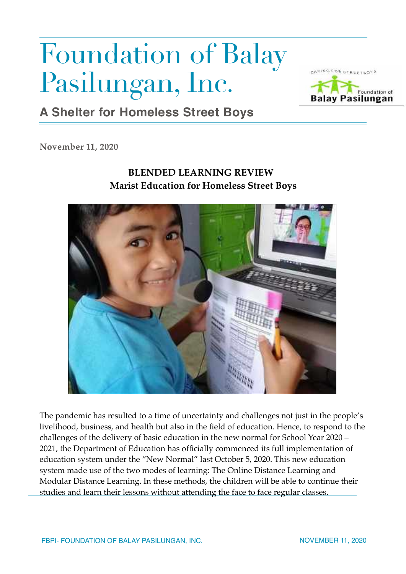## Foundation of Balay Pasilungan, Inc.



## **A Shelter for Homeless Street Boys**

**November 11, 2020**

## **BLENDED LEARNING REVIEW Marist Education for Homeless Street Boys**



The pandemic has resulted to a time of uncertainty and challenges not just in the people's livelihood, business, and health but also in the field of education. Hence, to respond to the challenges of the delivery of basic education in the new normal for School Year 2020 – 2021, the Department of Education has officially commenced its full implementation of education system under the "New Normal" last October 5, 2020. This new education system made use of the two modes of learning: The Online Distance Learning and Modular Distance Learning. In these methods, the children will be able to continue their studies and learn their lessons without attending the face to face regular classes.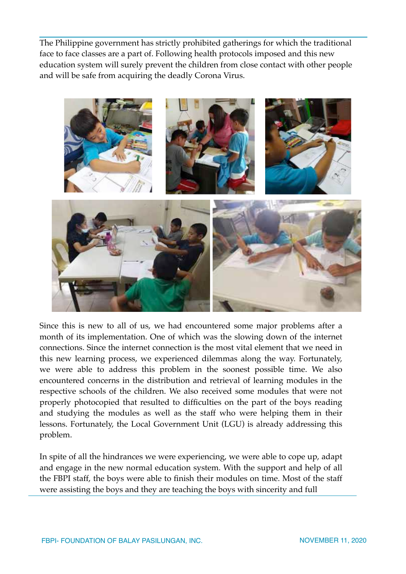The Philippine government has strictly prohibited gatherings for which the traditional face to face classes are a part of. Following health protocols imposed and this new education system will surely prevent the children from close contact with other people and will be safe from acquiring the deadly Corona Virus.



Since this is new to all of us, we had encountered some major problems after a month of its implementation. One of which was the slowing down of the internet connections. Since the internet connection is the most vital element that we need in this new learning process, we experienced dilemmas along the way. Fortunately, we were able to address this problem in the soonest possible time. We also encountered concerns in the distribution and retrieval of learning modules in the respective schools of the children. We also received some modules that were not properly photocopied that resulted to difficulties on the part of the boys reading and studying the modules as well as the staff who were helping them in their lessons. Fortunately, the Local Government Unit (LGU) is already addressing this problem.

In spite of all the hindrances we were experiencing, we were able to cope up, adapt and engage in the new normal education system. With the support and help of all the FBPI staff, the boys were able to finish their modules on time. Most of the staff were assisting the boys and they are teaching the boys with sincerity and full